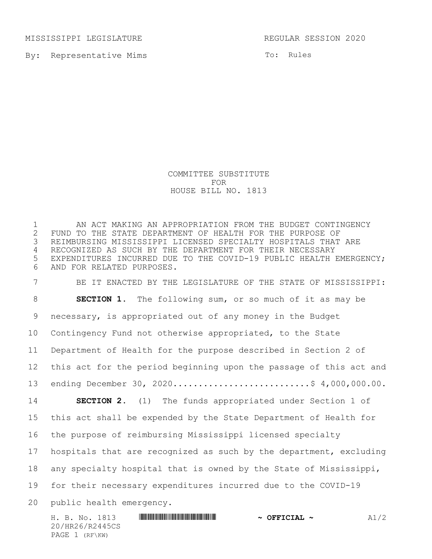MISSISSIPPI LEGISLATURE REGULAR SESSION 2020

By: Representative Mims

20/HR26/R2445CS PAGE 1 (RF\KW)

To: Rules

COMMITTEE SUBSTITUTE FOR HOUSE BILL NO. 1813

H. B. No. 1813 **\*\*\* And a Financial Financial And Association A1/2 \*\*\* OFFICIAL ~** A1/2 AN ACT MAKING AN APPROPRIATION FROM THE BUDGET CONTINGENCY 2 FUND TO THE STATE DEPARTMENT OF HEALTH FOR THE PURPOSE OF<br>3 REIMBURSING MISSISSIPPI LICENSED SPECIALTY HOSPITALS THAT REIMBURSING MISSISSIPPI LICENSED SPECIALTY HOSPITALS THAT ARE RECOGNIZED AS SUCH BY THE DEPARTMENT FOR THEIR NECESSARY EXPENDITURES INCURRED DUE TO THE COVID-19 PUBLIC HEALTH EMERGENCY; AND FOR RELATED PURPOSES. BE IT ENACTED BY THE LEGISLATURE OF THE STATE OF MISSISSIPPI: **SECTION 1.** The following sum, or so much of it as may be necessary, is appropriated out of any money in the Budget Contingency Fund not otherwise appropriated, to the State Department of Health for the purpose described in Section 2 of this act for the period beginning upon the passage of this act and 13 ending December 30, 2020.............................\$ 4,000,000.00. **SECTION 2.** (1) The funds appropriated under Section 1 of this act shall be expended by the State Department of Health for the purpose of reimbursing Mississippi licensed specialty hospitals that are recognized as such by the department, excluding any specialty hospital that is owned by the State of Mississippi, for their necessary expenditures incurred due to the COVID-19 public health emergency.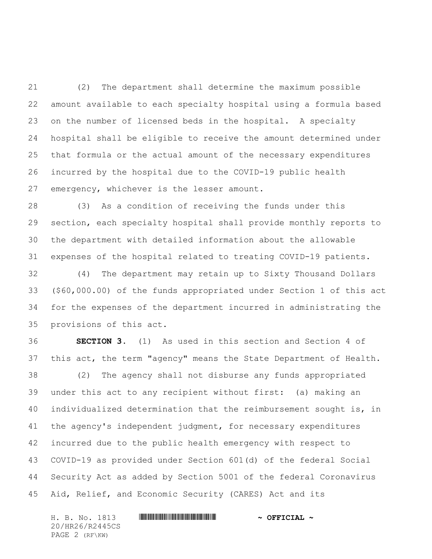(2) The department shall determine the maximum possible amount available to each specialty hospital using a formula based on the number of licensed beds in the hospital. A specialty hospital shall be eligible to receive the amount determined under that formula or the actual amount of the necessary expenditures incurred by the hospital due to the COVID-19 public health emergency, whichever is the lesser amount.

 (3) As a condition of receiving the funds under this section, each specialty hospital shall provide monthly reports to the department with detailed information about the allowable expenses of the hospital related to treating COVID-19 patients.

 (4) The department may retain up to Sixty Thousand Dollars (\$60,000.00) of the funds appropriated under Section 1 of this act for the expenses of the department incurred in administrating the provisions of this act.

 **SECTION 3.** (1) As used in this section and Section 4 of this act, the term "agency" means the State Department of Health. (2) The agency shall not disburse any funds appropriated under this act to any recipient without first: (a) making an individualized determination that the reimbursement sought is, in the agency's independent judgment, for necessary expenditures incurred due to the public health emergency with respect to COVID-19 as provided under Section 601(d) of the federal Social Security Act as added by Section 5001 of the federal Coronavirus Aid, Relief, and Economic Security (CARES) Act and its

H. B. No. 1813 \*HR26/R2445CS\* **~ OFFICIAL ~** 20/HR26/R2445CS PAGE 2 (RF\KW)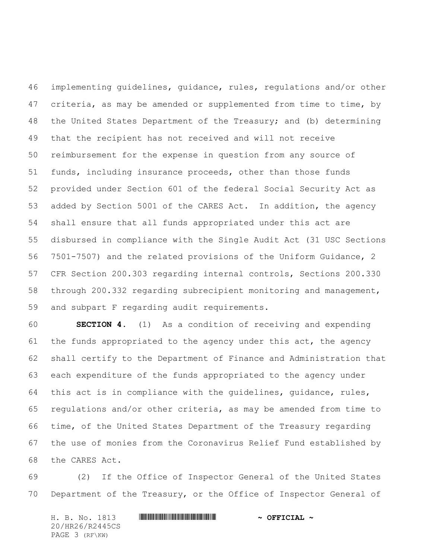implementing guidelines, guidance, rules, regulations and/or other 47 criteria, as may be amended or supplemented from time to time, by the United States Department of the Treasury; and (b) determining that the recipient has not received and will not receive reimbursement for the expense in question from any source of funds, including insurance proceeds, other than those funds provided under Section 601 of the federal Social Security Act as added by Section 5001 of the CARES Act. In addition, the agency shall ensure that all funds appropriated under this act are disbursed in compliance with the Single Audit Act (31 USC Sections 7501-7507) and the related provisions of the Uniform Guidance, 2 CFR Section 200.303 regarding internal controls, Sections 200.330 through 200.332 regarding subrecipient monitoring and management, and subpart F regarding audit requirements.

 **SECTION 4.** (1) As a condition of receiving and expending the funds appropriated to the agency under this act, the agency shall certify to the Department of Finance and Administration that each expenditure of the funds appropriated to the agency under this act is in compliance with the guidelines, guidance, rules, regulations and/or other criteria, as may be amended from time to time, of the United States Department of the Treasury regarding the use of monies from the Coronavirus Relief Fund established by the CARES Act.

 (2) If the Office of Inspector General of the United States Department of the Treasury, or the Office of Inspector General of

H. B. No. 1813 \*HR26/R2445CS\* **~ OFFICIAL ~** 20/HR26/R2445CS PAGE 3 (RF\KW)